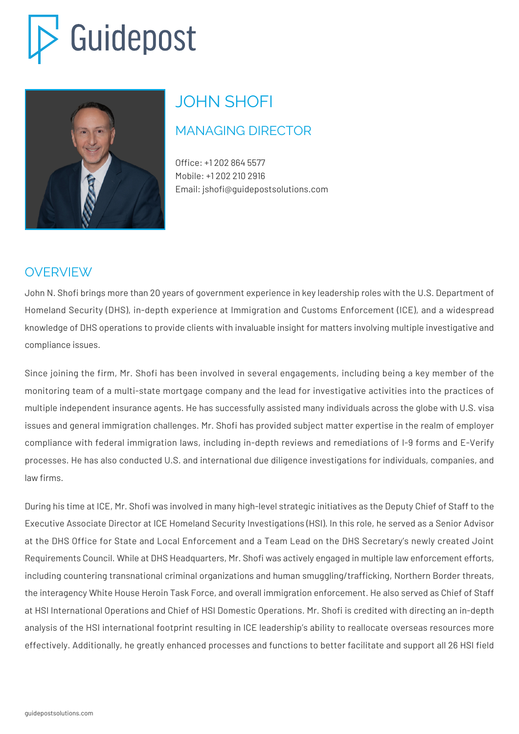# Guidepost



## JOHN SHOFI

### MANAGING DIRECTOR

Office: +1 202 864 5577 Mobile: +1 202 210 2916 Email: jshofi@guidepostsolutions.com

#### OVERVIEW

John N. Shofi brings more than 20 years of government experience in key leadership roles with the U.S. Department of Homeland Security (DHS), in-depth experience at Immigration and Customs Enforcement (ICE), and a widespread knowledge of DHS operations to provide clients with invaluable insight for matters involving multiple investigative and compliance issues.

Since joining the firm, Mr. Shofi has been involved in several engagements, including being a key member of the monitoring team of a multi-state mortgage company and the lead for investigative activities into the practices of multiple independent insurance agents. He has successfully assisted many individuals across the globe with U.S. visa issues and general immigration challenges. Mr. Shofi has provided subject matter expertise in the realm of employer compliance with federal immigration laws, including in-depth reviews and remediations of I-9 forms and E-Verify processes. He has also conducted U.S. and international due diligence investigations for individuals, companies, and law firms.

During his time at ICE, Mr. Shofi was involved in many high-level strategic initiatives as the Deputy Chief of Staff to the Executive Associate Director at ICE Homeland Security Investigations (HSI). In this role, he served as a Senior Advisor at the DHS Office for State and Local Enforcement and a Team Lead on the DHS Secretary's newly created Joint Requirements Council. While at DHS Headquarters, Mr. Shofi was actively engaged in multiple law enforcement efforts, including countering transnational criminal organizations and human smuggling/trafficking, Northern Border threats, the interagency White House Heroin Task Force, and overall immigration enforcement. He also served as Chief of Staff at HSI International Operations and Chief of HSI Domestic Operations. Mr. Shofi is credited with directing an in-depth analysis of the HSI international footprint resulting in ICE leadership's ability to reallocate overseas resources more effectively. Additionally, he greatly enhanced processes and functions to better facilitate and support all 26 HSI field